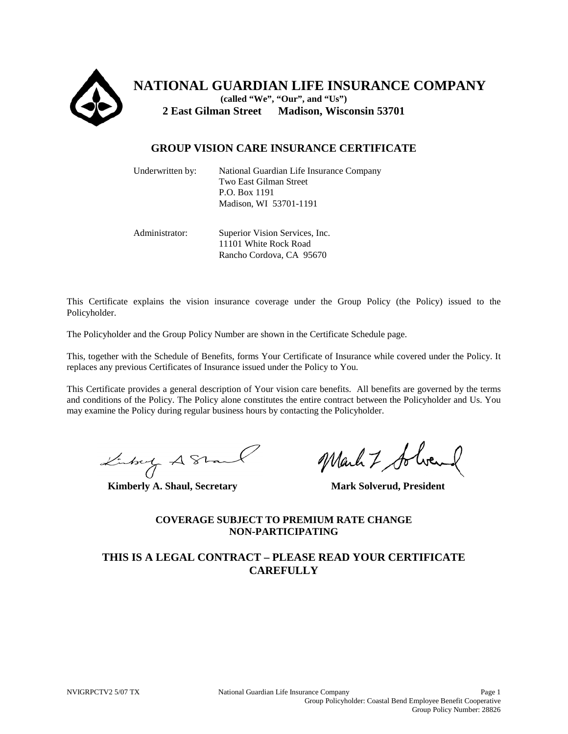

**NATIONAL GUARDIAN LIFE INSURANCE COMPANY (called "We", "Our", and "Us") 2 East Gilman Street Madison, Wisconsin 53701**

## **GROUP VISION CARE INSURANCE CERTIFICATE**

| Underwritten by: | National Guardian Life Insurance Company<br>Two East Gilman Street<br>P.O. Box 1191<br>Madison, WI 53701-1191 |
|------------------|---------------------------------------------------------------------------------------------------------------|
| Administrator:   | Superior Vision Services, Inc.                                                                                |

11101 White Rock Road Rancho Cordova, CA 95670

This Certificate explains the vision insurance coverage under the Group Policy (the Policy) issued to the Policyholder.

The Policyholder and the Group Policy Number are shown in the Certificate Schedule page.

This, together with the Schedule of Benefits, forms Your Certificate of Insurance while covered under the Policy. It replaces any previous Certificates of Insurance issued under the Policy to You.

This Certificate provides a general description of Your vision care benefits. All benefits are governed by the terms and conditions of the Policy. The Policy alone constitutes the entire contract between the Policyholder and Us. You may examine the Policy during regular business hours by contacting the Policyholder.

**Kimberly A. Shaul, Secretary Mark Solverud, President**

## **COVERAGE SUBJECT TO PREMIUM RATE CHANGE NON-PARTICIPATING**

## **THIS IS A LEGAL CONTRACT – PLEASE READ YOUR CERTIFICATE CAREFULLY**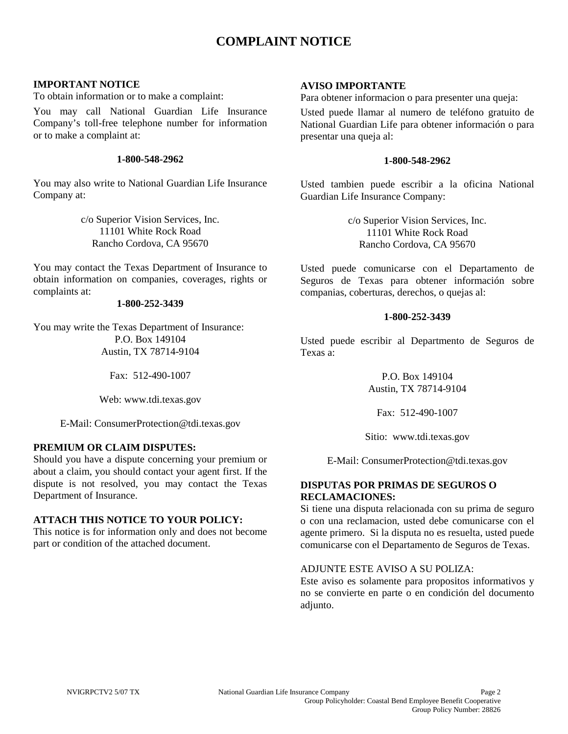# **COMPLAINT NOTICE**

## **IMPORTANT NOTICE**

To obtain information or to make a complaint:

You may call National Guardian Life Insurance Company's toll-free telephone number for information or to make a complaint at:

## **1-800-548-2962**

You may also write to National Guardian Life Insurance Company at:

> c/o Superior Vision Services, Inc. 11101 White Rock Road Rancho Cordova, CA 95670

You may contact the Texas Department of Insurance to obtain information on companies, coverages, rights or complaints at:

## **1-800-252-3439**

You may write the Texas Department of Insurance: P.O. Box 149104 Austin, TX 78714-9104

Fax: 512-490-1007

Web: www.tdi.texas.gov

E-Mail: ConsumerProtection@tdi.texas.gov

## **PREMIUM OR CLAIM DISPUTES:**

Should you have a dispute concerning your premium or about a claim, you should contact your agent first. If the dispute is not resolved, you may contact the Texas Department of Insurance.

## **ATTACH THIS NOTICE TO YOUR POLICY:**

This notice is for information only and does not become part or condition of the attached document.

## **AVISO IMPORTANTE**

Para obtener informacion o para presenter una queja:

Usted puede llamar al numero de teléfono gratuito de National Guardian Life para obtener información o para presentar una queja al:

### **1-800-548-2962**

Usted tambien puede escribir a la oficina National Guardian Life Insurance Company:

> c/o Superior Vision Services, Inc. 11101 White Rock Road Rancho Cordova, CA 95670

Usted puede comunicarse con el Departamento de Seguros de Texas para obtener información sobre companias, coberturas, derechos, o quejas al:

## **1-800-252-3439**

Usted puede escribir al Departmento de Seguros de Texas a:

> P.O. Box 149104 Austin, TX 78714-9104

Fax: 512-490-1007

Sitio: www.tdi.texas.gov

E-Mail: ConsumerProtection@tdi.texas.gov

## **DISPUTAS POR PRIMAS DE SEGUROS O RECLAMACIONES:**

Si tiene una disputa relacionada con su prima de seguro o con una reclamacion, usted debe comunicarse con el agente primero. Si la disputa no es resuelta, usted puede comunicarse con el Departamento de Seguros de Texas.

## ADJUNTE ESTE AVISO A SU POLIZA:

Este aviso es solamente para propositos informativos y no se convierte en parte o en condición del documento adjunto.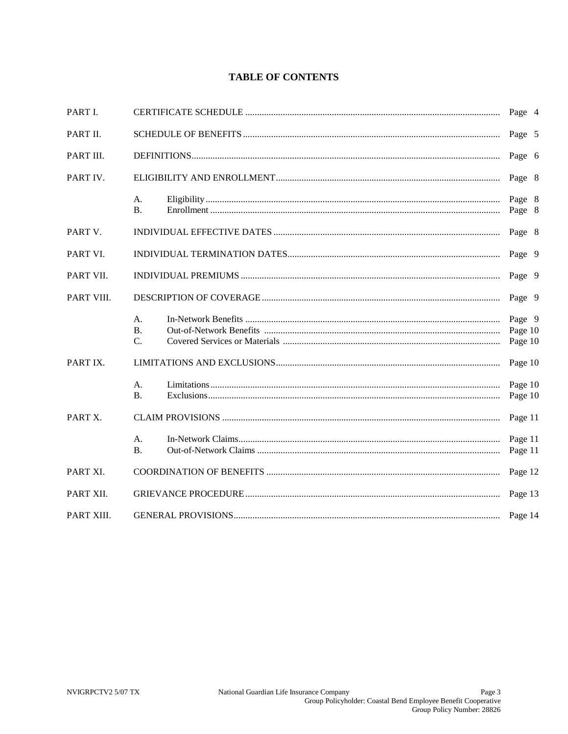## **TABLE OF CONTENTS**

| PART I.    |                                     |  | Page 4                       |        |
|------------|-------------------------------------|--|------------------------------|--------|
| PART II.   |                                     |  |                              | Page 5 |
| PART III.  |                                     |  |                              | Page 6 |
| PART IV.   |                                     |  | Page 8                       |        |
|            | A.<br><b>B.</b>                     |  | Page 8<br>Page 8             |        |
| PART V.    |                                     |  | Page 8                       |        |
| PART VI.   |                                     |  | Page 9                       |        |
| PART VII.  |                                     |  | Page 9                       |        |
| PART VIII. |                                     |  | Page 9                       |        |
|            | A.<br>$\bf{B}$ .<br>$\mathcal{C}$ . |  | Page 9<br>Page 10<br>Page 10 |        |
| PART IX.   |                                     |  | Page 10                      |        |
|            | А.<br><b>B.</b>                     |  | Page 10<br>Page 10           |        |
| PART X.    |                                     |  | Page 11                      |        |
|            | A.<br>B <sub>1</sub>                |  | Page 11<br>Page 11           |        |
| PART XI.   |                                     |  | Page 12                      |        |
| PART XII.  |                                     |  | Page 13                      |        |
| PART XIII. |                                     |  | Page 14                      |        |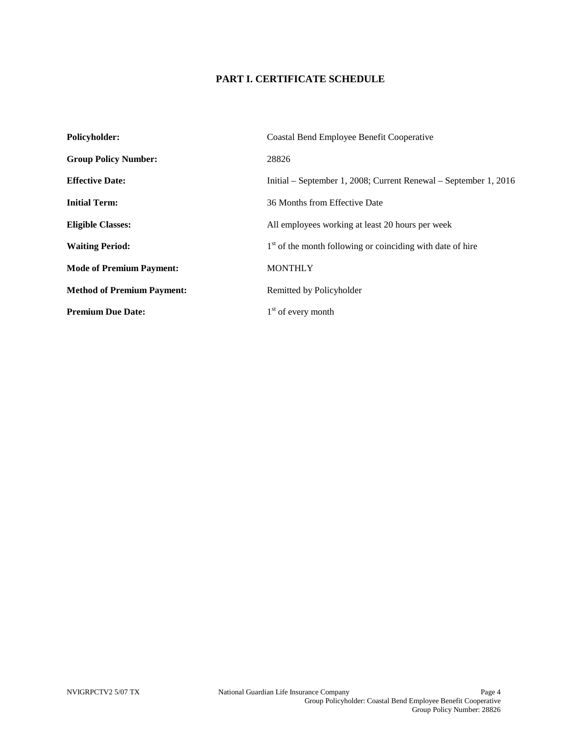## **PART I. CERTIFICATE SCHEDULE**

| <b>Policyholder:</b>              | <b>Coastal Bend Employee Benefit Cooperative</b>                 |  |
|-----------------------------------|------------------------------------------------------------------|--|
| <b>Group Policy Number:</b>       | 28826                                                            |  |
| <b>Effective Date:</b>            | Initial – September 1, 2008; Current Renewal – September 1, 2016 |  |
| <b>Initial Term:</b>              | 36 Months from Effective Date                                    |  |
| <b>Eligible Classes:</b>          | All employees working at least 20 hours per week                 |  |
| <b>Waiting Period:</b>            | $1st$ of the month following or coinciding with date of hire     |  |
| <b>Mode of Premium Payment:</b>   | <b>MONTHLY</b>                                                   |  |
| <b>Method of Premium Payment:</b> | Remitted by Policyholder                                         |  |
| <b>Premium Due Date:</b>          | $1st$ of every month                                             |  |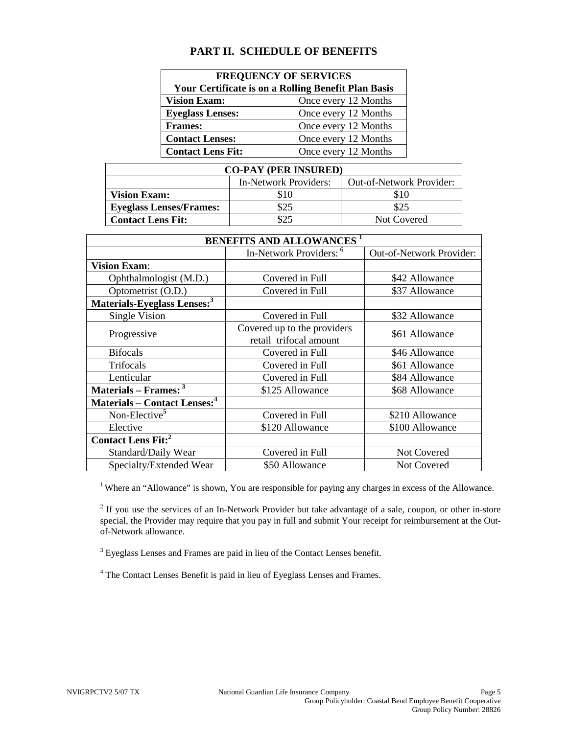## **PART II. SCHEDULE OF BENEFITS**

| <b>FREQUENCY OF SERVICES</b>                        |                      |  |  |
|-----------------------------------------------------|----------------------|--|--|
| Your Certificate is on a Rolling Benefit Plan Basis |                      |  |  |
| <b>Vision Exam:</b>                                 | Once every 12 Months |  |  |
| <b>Eyeglass Lenses:</b>                             | Once every 12 Months |  |  |
| <b>Frames:</b>                                      | Once every 12 Months |  |  |
| <b>Contact Lenses:</b>                              | Once every 12 Months |  |  |
| <b>Contact Lens Fit:</b>                            | Once every 12 Months |  |  |

| <b>CO-PAY (PER INSURED)</b>    |                       |                          |  |  |
|--------------------------------|-----------------------|--------------------------|--|--|
|                                | In-Network Providers: | Out-of-Network Provider: |  |  |
| <b>Vision Exam:</b>            | \$10                  | \$10                     |  |  |
| <b>Eyeglass Lenses/Frames:</b> | \$25                  | \$25                     |  |  |
| <b>Contact Lens Fit:</b>       | \$25                  | Not Covered              |  |  |

| <b>BENEFITS AND ALLOWANCES</b> <sup>1</sup>     |                                                       |                          |  |
|-------------------------------------------------|-------------------------------------------------------|--------------------------|--|
|                                                 | In-Network Providers: <sup>6</sup>                    | Out-of-Network Provider: |  |
| <b>Vision Exam:</b>                             |                                                       |                          |  |
| Ophthalmologist (M.D.)                          | Covered in Full                                       | \$42 Allowance           |  |
| Optometrist (O.D.)                              | Covered in Full                                       | \$37 Allowance           |  |
| Materials-Eyeglass Lenses: <sup>3</sup>         |                                                       |                          |  |
| Single Vision                                   | Covered in Full                                       | \$32 Allowance           |  |
| Progressive                                     | Covered up to the providers<br>retail trifocal amount | \$61 Allowance           |  |
| <b>Bifocals</b>                                 | Covered in Full                                       | \$46 Allowance           |  |
| Trifocals                                       | Covered in Full                                       | \$61 Allowance           |  |
| Lenticular                                      | Covered in Full                                       | \$84 Allowance           |  |
| Materials - Frames: <sup>3</sup>                | \$125 Allowance                                       | \$68 Allowance           |  |
| <b>Materials – Contact Lenses:</b> <sup>4</sup> |                                                       |                          |  |
| Non-Elective <sup>5</sup>                       | Covered in Full                                       | \$210 Allowance          |  |
| Elective                                        | \$120 Allowance                                       | \$100 Allowance          |  |
| <b>Contact Lens Fit:</b> <sup>2</sup>           |                                                       |                          |  |
| Standard/Daily Wear                             | Covered in Full                                       | Not Covered              |  |
| Specialty/Extended Wear                         | \$50 Allowance                                        | Not Covered              |  |

<sup>1</sup> Where an "Allowance" is shown, You are responsible for paying any charges in excess of the Allowance.

 $2<sup>2</sup>$  If you use the services of an In-Network Provider but take advantage of a sale, coupon, or other in-store special, the Provider may require that you pay in full and submit Your receipt for reimbursement at the Outof-Network allowance.

<sup>3</sup> Eyeglass Lenses and Frames are paid in lieu of the Contact Lenses benefit.

<sup>4</sup> The Contact Lenses Benefit is paid in lieu of Eyeglass Lenses and Frames.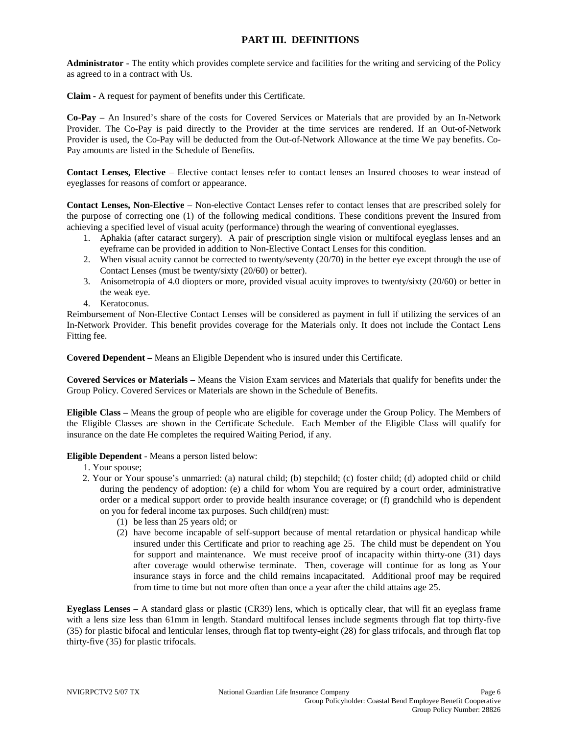## **PART III. DEFINITIONS**

**Administrator -** The entity which provides complete service and facilities for the writing and servicing of the Policy as agreed to in a contract with Us.

**Claim -** A request for payment of benefits under this Certificate.

**Co-Pay –** An Insured's share of the costs for Covered Services or Materials that are provided by an In-Network Provider. The Co-Pay is paid directly to the Provider at the time services are rendered. If an Out-of-Network Provider is used, the Co-Pay will be deducted from the Out-of-Network Allowance at the time We pay benefits. Co-Pay amounts are listed in the Schedule of Benefits.

**Contact Lenses, Elective** – Elective contact lenses refer to contact lenses an Insured chooses to wear instead of eyeglasses for reasons of comfort or appearance.

**Contact Lenses, Non-Elective** – Non-elective Contact Lenses refer to contact lenses that are prescribed solely for the purpose of correcting one (1) of the following medical conditions. These conditions prevent the Insured from achieving a specified level of visual acuity (performance) through the wearing of conventional eyeglasses.

- 1. Aphakia (after cataract surgery). A pair of prescription single vision or multifocal eyeglass lenses and an eyeframe can be provided in addition to Non-Elective Contact Lenses for this condition.
- 2. When visual acuity cannot be corrected to twenty/seventy (20/70) in the better eye except through the use of Contact Lenses (must be twenty/sixty (20/60) or better).
- 3. Anisometropia of 4.0 diopters or more, provided visual acuity improves to twenty/sixty (20/60) or better in the weak eye.
- 4. Keratoconus.

Reimbursement of Non-Elective Contact Lenses will be considered as payment in full if utilizing the services of an In-Network Provider. This benefit provides coverage for the Materials only. It does not include the Contact Lens Fitting fee.

**Covered Dependent –** Means an Eligible Dependent who is insured under this Certificate.

**Covered Services or Materials –** Means the Vision Exam services and Materials that qualify for benefits under the Group Policy. Covered Services or Materials are shown in the Schedule of Benefits.

**Eligible Class –** Means the group of people who are eligible for coverage under the Group Policy. The Members of the Eligible Classes are shown in the Certificate Schedule. Each Member of the Eligible Class will qualify for insurance on the date He completes the required Waiting Period, if any.

#### **Eligible Dependent** - Means a person listed below:

- 1. Your spouse;
- 2. Your or Your spouse's unmarried: (a) natural child; (b) stepchild; (c) foster child; (d) adopted child or child during the pendency of adoption: (e) a child for whom You are required by a court order, administrative order or a medical support order to provide health insurance coverage; or (f) grandchild who is dependent on you for federal income tax purposes. Such child(ren) must:
	- (1) be less than 25 years old; or
	- (2) have become incapable of self-support because of mental retardation or physical handicap while insured under this Certificate and prior to reaching age 25. The child must be dependent on You for support and maintenance. We must receive proof of incapacity within thirty-one (31) days after coverage would otherwise terminate. Then, coverage will continue for as long as Your insurance stays in force and the child remains incapacitated. Additional proof may be required from time to time but not more often than once a year after the child attains age 25.

**Eyeglass Lenses** – A standard glass or plastic (CR39) lens, which is optically clear, that will fit an eyeglass frame with a lens size less than 61mm in length. Standard multifocal lenses include segments through flat top thirty-five (35) for plastic bifocal and lenticular lenses, through flat top twenty-eight (28) for glass trifocals, and through flat top thirty-five (35) for plastic trifocals.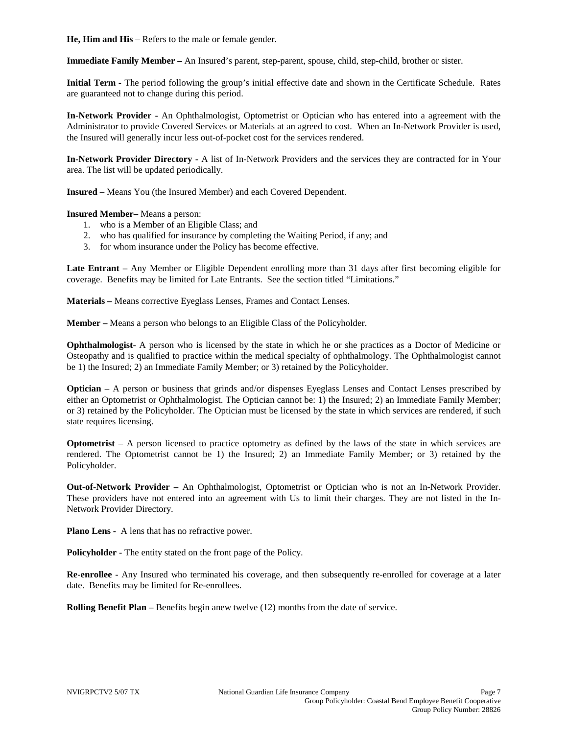**He, Him and His** – Refers to the male or female gender.

**Immediate Family Member –** An Insured's parent, step-parent, spouse, child, step-child, brother or sister.

**Initial Term -** The period following the group's initial effective date and shown in the Certificate Schedule. Rates are guaranteed not to change during this period.

**In-Network Provider -** An Ophthalmologist, Optometrist or Optician who has entered into a agreement with the Administrator to provide Covered Services or Materials at an agreed to cost. When an In-Network Provider is used, the Insured will generally incur less out-of-pocket cost for the services rendered.

**In-Network Provider Directory -** A list of In-Network Providers and the services they are contracted for in Your area. The list will be updated periodically.

**Insured** – Means You (the Insured Member) and each Covered Dependent.

**Insured Member–** Means a person:

- 1. who is a Member of an Eligible Class; and
- 2. who has qualified for insurance by completing the Waiting Period, if any; and
- 3. for whom insurance under the Policy has become effective.

**Late Entrant –** Any Member or Eligible Dependent enrolling more than 31 days after first becoming eligible for coverage. Benefits may be limited for Late Entrants. See the section titled "Limitations."

**Materials –** Means corrective Eyeglass Lenses, Frames and Contact Lenses.

**Member –** Means a person who belongs to an Eligible Class of the Policyholder.

**Ophthalmologist**- A person who is licensed by the state in which he or she practices as a Doctor of Medicine or Osteopathy and is qualified to practice within the medical specialty of ophthalmology. The Ophthalmologist cannot be 1) the Insured; 2) an Immediate Family Member; or 3) retained by the Policyholder.

**Optician** – A person or business that grinds and/or dispenses Eyeglass Lenses and Contact Lenses prescribed by either an Optometrist or Ophthalmologist. The Optician cannot be: 1) the Insured; 2) an Immediate Family Member; or 3) retained by the Policyholder. The Optician must be licensed by the state in which services are rendered, if such state requires licensing.

**Optometrist** – A person licensed to practice optometry as defined by the laws of the state in which services are rendered. The Optometrist cannot be 1) the Insured; 2) an Immediate Family Member; or 3) retained by the Policyholder.

**Out-of-Network Provider –** An Ophthalmologist, Optometrist or Optician who is not an In-Network Provider. These providers have not entered into an agreement with Us to limit their charges. They are not listed in the In-Network Provider Directory.

**Plano Lens -** A lens that has no refractive power.

**Policyholder -** The entity stated on the front page of the Policy.

**Re-enrollee -** Any Insured who terminated his coverage, and then subsequently re-enrolled for coverage at a later date. Benefits may be limited for Re-enrollees.

**Rolling Benefit Plan –** Benefits begin anew twelve (12) months from the date of service.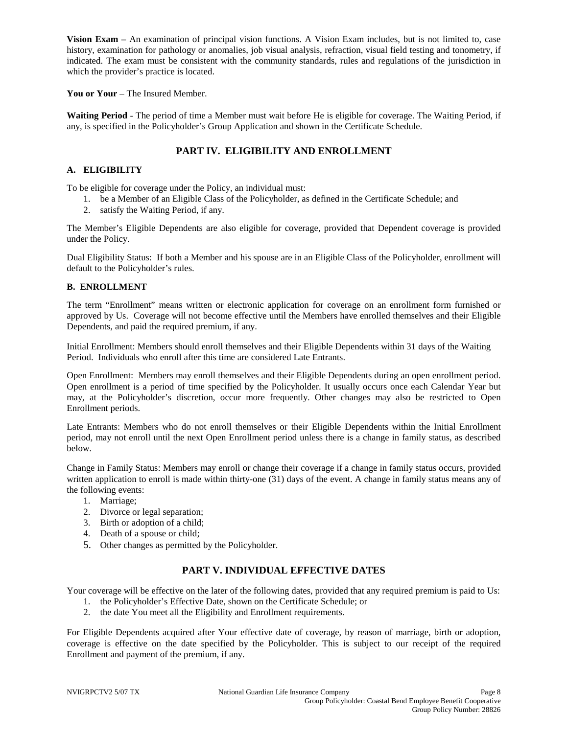**Vision Exam –** An examination of principal vision functions. A Vision Exam includes, but is not limited to, case history, examination for pathology or anomalies, job visual analysis, refraction, visual field testing and tonometry, if indicated. The exam must be consistent with the community standards, rules and regulations of the jurisdiction in which the provider's practice is located.

**You or Your** – The Insured Member.

**Waiting Period** - The period of time a Member must wait before He is eligible for coverage. The Waiting Period, if any, is specified in the Policyholder's Group Application and shown in the Certificate Schedule.

## **PART IV. ELIGIBILITY AND ENROLLMENT**

#### **A. ELIGIBILITY**

To be eligible for coverage under the Policy, an individual must:

- 1. be a Member of an Eligible Class of the Policyholder, as defined in the Certificate Schedule; and
- 2. satisfy the Waiting Period, if any.

The Member's Eligible Dependents are also eligible for coverage, provided that Dependent coverage is provided under the Policy.

Dual Eligibility Status: If both a Member and his spouse are in an Eligible Class of the Policyholder, enrollment will default to the Policyholder's rules.

#### **B. ENROLLMENT**

The term "Enrollment" means written or electronic application for coverage on an enrollment form furnished or approved by Us. Coverage will not become effective until the Members have enrolled themselves and their Eligible Dependents, and paid the required premium, if any.

Initial Enrollment: Members should enroll themselves and their Eligible Dependents within 31 days of the Waiting Period. Individuals who enroll after this time are considered Late Entrants.

Open Enrollment: Members may enroll themselves and their Eligible Dependents during an open enrollment period. Open enrollment is a period of time specified by the Policyholder. It usually occurs once each Calendar Year but may, at the Policyholder's discretion, occur more frequently. Other changes may also be restricted to Open Enrollment periods.

Late Entrants: Members who do not enroll themselves or their Eligible Dependents within the Initial Enrollment period, may not enroll until the next Open Enrollment period unless there is a change in family status, as described below.

Change in Family Status: Members may enroll or change their coverage if a change in family status occurs, provided written application to enroll is made within thirty-one (31) days of the event. A change in family status means any of the following events:

- 1. Marriage;
- 2. Divorce or legal separation;
- 3. Birth or adoption of a child;
- 4. Death of a spouse or child;
- 5. Other changes as permitted by the Policyholder.

## **PART V. INDIVIDUAL EFFECTIVE DATES**

Your coverage will be effective on the later of the following dates, provided that any required premium is paid to Us:

- 1. the Policyholder's Effective Date, shown on the Certificate Schedule; or
- 2. the date You meet all the Eligibility and Enrollment requirements.

For Eligible Dependents acquired after Your effective date of coverage, by reason of marriage, birth or adoption, coverage is effective on the date specified by the Policyholder. This is subject to our receipt of the required Enrollment and payment of the premium, if any.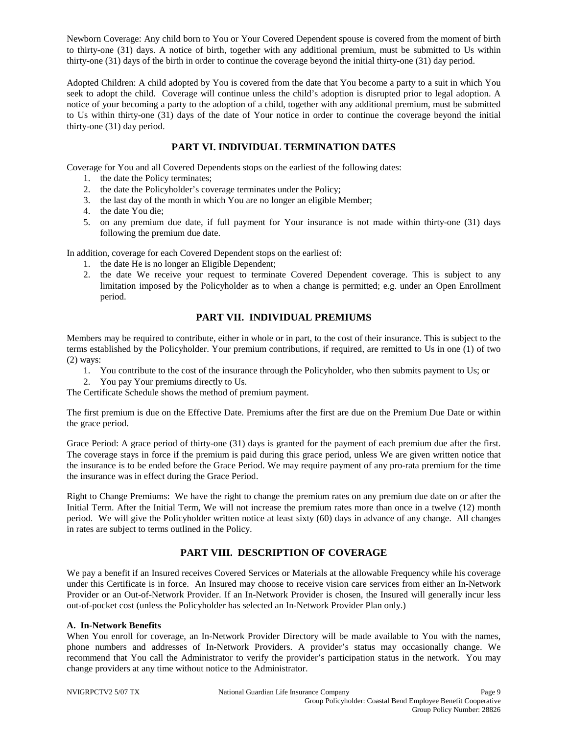Newborn Coverage: Any child born to You or Your Covered Dependent spouse is covered from the moment of birth to thirty-one (31) days. A notice of birth, together with any additional premium, must be submitted to Us within thirty-one (31) days of the birth in order to continue the coverage beyond the initial thirty-one (31) day period.

Adopted Children: A child adopted by You is covered from the date that You become a party to a suit in which You seek to adopt the child. Coverage will continue unless the child's adoption is disrupted prior to legal adoption. A notice of your becoming a party to the adoption of a child, together with any additional premium, must be submitted to Us within thirty-one (31) days of the date of Your notice in order to continue the coverage beyond the initial thirty-one (31) day period.

## **PART VI. INDIVIDUAL TERMINATION DATES**

Coverage for You and all Covered Dependents stops on the earliest of the following dates:

- 1. the date the Policy terminates;
- 2. the date the Policyholder's coverage terminates under the Policy;
- 3. the last day of the month in which You are no longer an eligible Member;
- 4. the date You die;
- 5. on any premium due date, if full payment for Your insurance is not made within thirty-one (31) days following the premium due date.

In addition, coverage for each Covered Dependent stops on the earliest of:

- 1. the date He is no longer an Eligible Dependent;
- 2. the date We receive your request to terminate Covered Dependent coverage. This is subject to any limitation imposed by the Policyholder as to when a change is permitted; e.g. under an Open Enrollment period.

## **PART VII. INDIVIDUAL PREMIUMS**

Members may be required to contribute, either in whole or in part, to the cost of their insurance. This is subject to the terms established by the Policyholder. Your premium contributions, if required, are remitted to Us in one (1) of two (2) ways:

- 1. You contribute to the cost of the insurance through the Policyholder, who then submits payment to Us; or
- 2. You pay Your premiums directly to Us.

The Certificate Schedule shows the method of premium payment.

The first premium is due on the Effective Date. Premiums after the first are due on the Premium Due Date or within the grace period.

Grace Period: A grace period of thirty-one (31) days is granted for the payment of each premium due after the first. The coverage stays in force if the premium is paid during this grace period, unless We are given written notice that the insurance is to be ended before the Grace Period. We may require payment of any pro-rata premium for the time the insurance was in effect during the Grace Period.

Right to Change Premiums: We have the right to change the premium rates on any premium due date on or after the Initial Term. After the Initial Term, We will not increase the premium rates more than once in a twelve (12) month period. We will give the Policyholder written notice at least sixty (60) days in advance of any change. All changes in rates are subject to terms outlined in the Policy.

## **PART VIII. DESCRIPTION OF COVERAGE**

We pay a benefit if an Insured receives Covered Services or Materials at the allowable Frequency while his coverage under this Certificate is in force. An Insured may choose to receive vision care services from either an In-Network Provider or an Out-of-Network Provider. If an In-Network Provider is chosen, the Insured will generally incur less out-of-pocket cost (unless the Policyholder has selected an In-Network Provider Plan only.)

#### **A. In-Network Benefits**

When You enroll for coverage, an In-Network Provider Directory will be made available to You with the names, phone numbers and addresses of In-Network Providers. A provider's status may occasionally change. We recommend that You call the Administrator to verify the provider's participation status in the network. You may change providers at any time without notice to the Administrator.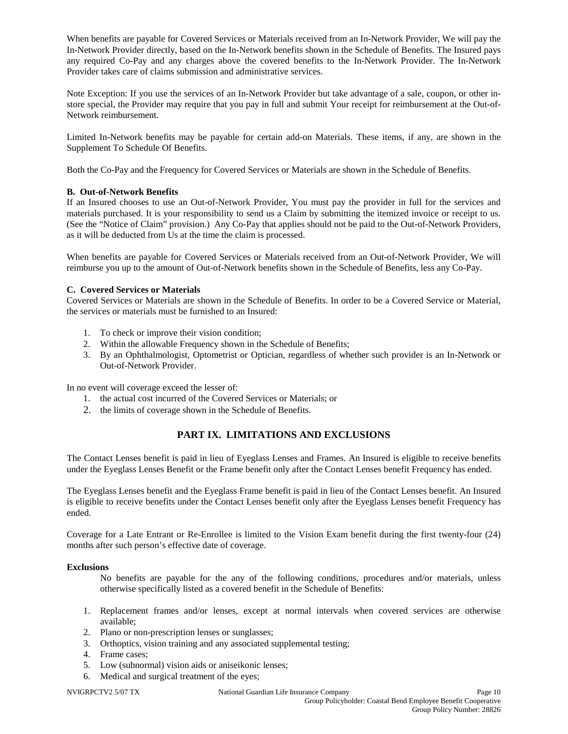When benefits are payable for Covered Services or Materials received from an In-Network Provider, We will pay the In-Network Provider directly, based on the In-Network benefits shown in the Schedule of Benefits. The Insured pays any required Co-Pay and any charges above the covered benefits to the In-Network Provider. The In-Network Provider takes care of claims submission and administrative services.

Note Exception: If you use the services of an In-Network Provider but take advantage of a sale, coupon, or other instore special, the Provider may require that you pay in full and submit Your receipt for reimbursement at the Out-of-Network reimbursement.

Limited In-Network benefits may be payable for certain add-on Materials. These items, if any, are shown in the Supplement To Schedule Of Benefits.

Both the Co-Pay and the Frequency for Covered Services or Materials are shown in the Schedule of Benefits.

## **B. Out-of-Network Benefits**

If an Insured chooses to use an Out-of-Network Provider, You must pay the provider in full for the services and materials purchased. It is your responsibility to send us a Claim by submitting the itemized invoice or receipt to us. (See the "Notice of Claim" provision.) Any Co-Pay that applies should not be paid to the Out-of-Network Providers, as it will be deducted from Us at the time the claim is processed.

When benefits are payable for Covered Services or Materials received from an Out-of-Network Provider, We will reimburse you up to the amount of Out-of-Network benefits shown in the Schedule of Benefits, less any Co-Pay.

## **C. Covered Services or Materials**

Covered Services or Materials are shown in the Schedule of Benefits. In order to be a Covered Service or Material, the services or materials must be furnished to an Insured:

- 1. To check or improve their vision condition;
- 2. Within the allowable Frequency shown in the Schedule of Benefits;
- 3. By an Ophthalmologist, Optometrist or Optician, regardless of whether such provider is an In-Network or Out-of-Network Provider.

In no event will coverage exceed the lesser of:

- 1. the actual cost incurred of the Covered Services or Materials; or
- 2. the limits of coverage shown in the Schedule of Benefits.

## **PART IX. LIMITATIONS AND EXCLUSIONS**

The Contact Lenses benefit is paid in lieu of Eyeglass Lenses and Frames. An Insured is eligible to receive benefits under the Eyeglass Lenses Benefit or the Frame benefit only after the Contact Lenses benefit Frequency has ended.

The Eyeglass Lenses benefit and the Eyeglass Frame benefit is paid in lieu of the Contact Lenses benefit. An Insured is eligible to receive benefits under the Contact Lenses benefit only after the Eyeglass Lenses benefit Frequency has ended.

Coverage for a Late Entrant or Re-Enrollee is limited to the Vision Exam benefit during the first twenty-four (24) months after such person's effective date of coverage.

#### **Exclusions**

No benefits are payable for the any of the following conditions, procedures and/or materials, unless otherwise specifically listed as a covered benefit in the Schedule of Benefits:

- 1. Replacement frames and/or lenses, except at normal intervals when covered services are otherwise available;
- 2. Plano or non-prescription lenses or sunglasses;
- 3. Orthoptics, vision training and any associated supplemental testing;
- 4. Frame cases;
- 5. Low (subnormal) vision aids or aniseikonic lenses;
- 6. Medical and surgical treatment of the eyes;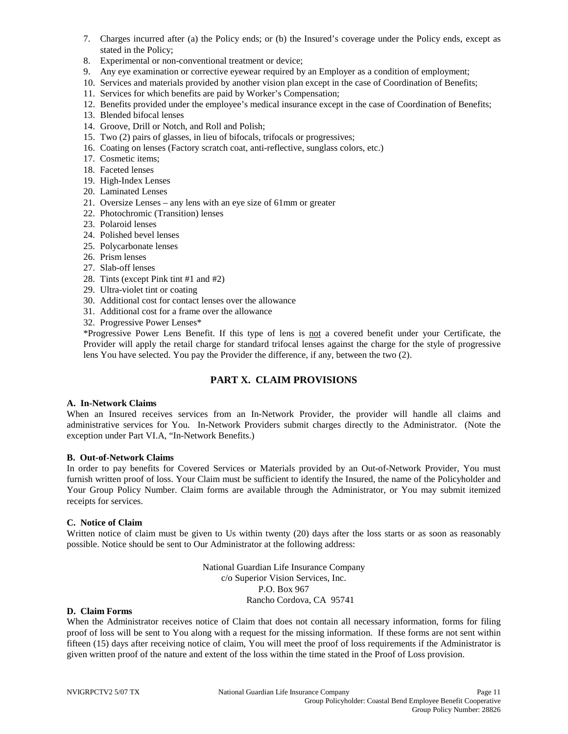- 7. Charges incurred after (a) the Policy ends; or (b) the Insured's coverage under the Policy ends, except as stated in the Policy;
- 8. Experimental or non-conventional treatment or device;
- 9. Any eye examination or corrective eyewear required by an Employer as a condition of employment;
- 10. Services and materials provided by another vision plan except in the case of Coordination of Benefits;
- 11. Services for which benefits are paid by Worker's Compensation;
- 12. Benefits provided under the employee's medical insurance except in the case of Coordination of Benefits;
- 13. Blended bifocal lenses
- 14. Groove, Drill or Notch, and Roll and Polish;
- 15. Two (2) pairs of glasses, in lieu of bifocals, trifocals or progressives;
- 16. Coating on lenses (Factory scratch coat, anti-reflective, sunglass colors, etc.)
- 17. Cosmetic items;
- 18. Faceted lenses
- 19. High-Index Lenses
- 20. Laminated Lenses
- 21. Oversize Lenses any lens with an eye size of 61mm or greater
- 22. Photochromic (Transition) lenses
- 23. Polaroid lenses
- 24. Polished bevel lenses
- 25. Polycarbonate lenses
- 26. Prism lenses
- 27. Slab-off lenses
- 28. Tints (except Pink tint #1 and #2)
- 29. Ultra-violet tint or coating
- 30. Additional cost for contact lenses over the allowance
- 31. Additional cost for a frame over the allowance
- 32. Progressive Power Lenses\*

\*Progressive Power Lens Benefit. If this type of lens is not a covered benefit under your Certificate, the Provider will apply the retail charge for standard trifocal lenses against the charge for the style of progressive lens You have selected. You pay the Provider the difference, if any, between the two (2).

## **PART X. CLAIM PROVISIONS**

#### **A. In-Network Claims**

When an Insured receives services from an In-Network Provider, the provider will handle all claims and administrative services for You. In-Network Providers submit charges directly to the Administrator. (Note the exception under Part VI.A, "In-Network Benefits.)

#### **B. Out-of-Network Claims**

In order to pay benefits for Covered Services or Materials provided by an Out-of-Network Provider, You must furnish written proof of loss. Your Claim must be sufficient to identify the Insured, the name of the Policyholder and Your Group Policy Number. Claim forms are available through the Administrator, or You may submit itemized receipts for services.

#### **C. Notice of Claim**

Written notice of claim must be given to Us within twenty (20) days after the loss starts or as soon as reasonably possible. Notice should be sent to Our Administrator at the following address:

> National Guardian Life Insurance Company c/o Superior Vision Services, Inc. P.O. Box 967 Rancho Cordova, CA 95741

#### **D. Claim Forms**

When the Administrator receives notice of Claim that does not contain all necessary information, forms for filing proof of loss will be sent to You along with a request for the missing information. If these forms are not sent within fifteen (15) days after receiving notice of claim, You will meet the proof of loss requirements if the Administrator is given written proof of the nature and extent of the loss within the time stated in the Proof of Loss provision.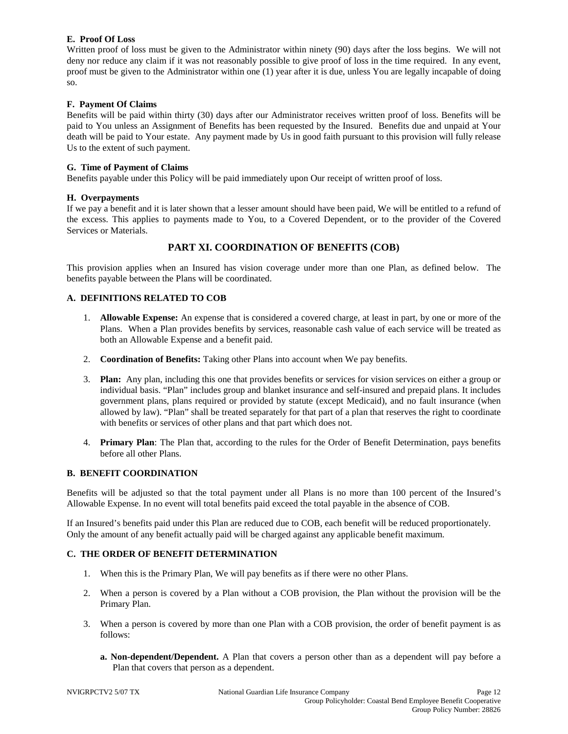#### **E. Proof Of Loss**

Written proof of loss must be given to the Administrator within ninety (90) days after the loss begins. We will not deny nor reduce any claim if it was not reasonably possible to give proof of loss in the time required. In any event, proof must be given to the Administrator within one (1) year after it is due, unless You are legally incapable of doing so.

#### **F. Payment Of Claims**

Benefits will be paid within thirty (30) days after our Administrator receives written proof of loss. Benefits will be paid to You unless an Assignment of Benefits has been requested by the Insured. Benefits due and unpaid at Your death will be paid to Your estate. Any payment made by Us in good faith pursuant to this provision will fully release Us to the extent of such payment.

#### **G. Time of Payment of Claims**

Benefits payable under this Policy will be paid immediately upon Our receipt of written proof of loss.

#### **H. Overpayments**

If we pay a benefit and it is later shown that a lesser amount should have been paid, We will be entitled to a refund of the excess. This applies to payments made to You, to a Covered Dependent, or to the provider of the Covered Services or Materials.

## **PART XI. COORDINATION OF BENEFITS (COB)**

This provision applies when an Insured has vision coverage under more than one Plan, as defined below. The benefits payable between the Plans will be coordinated.

#### **A. DEFINITIONS RELATED TO COB**

- 1. **Allowable Expense:** An expense that is considered a covered charge, at least in part, by one or more of the Plans. When a Plan provides benefits by services, reasonable cash value of each service will be treated as both an Allowable Expense and a benefit paid.
- 2. **Coordination of Benefits:** Taking other Plans into account when We pay benefits.
- 3. **Plan:** Any plan, including this one that provides benefits or services for vision services on either a group or individual basis. "Plan" includes group and blanket insurance and self-insured and prepaid plans. It includes government plans, plans required or provided by statute (except Medicaid), and no fault insurance (when allowed by law). "Plan" shall be treated separately for that part of a plan that reserves the right to coordinate with benefits or services of other plans and that part which does not.
- 4. **Primary Plan**: The Plan that, according to the rules for the Order of Benefit Determination, pays benefits before all other Plans.

#### **B. BENEFIT COORDINATION**

Benefits will be adjusted so that the total payment under all Plans is no more than 100 percent of the Insured's Allowable Expense. In no event will total benefits paid exceed the total payable in the absence of COB.

If an Insured's benefits paid under this Plan are reduced due to COB, each benefit will be reduced proportionately. Only the amount of any benefit actually paid will be charged against any applicable benefit maximum.

#### **C. THE ORDER OF BENEFIT DETERMINATION**

- 1. When this is the Primary Plan, We will pay benefits as if there were no other Plans.
- 2. When a person is covered by a Plan without a COB provision, the Plan without the provision will be the Primary Plan.
- 3. When a person is covered by more than one Plan with a COB provision, the order of benefit payment is as follows:
	- **a. Non-dependent/Dependent.** A Plan that covers a person other than as a dependent will pay before a Plan that covers that person as a dependent.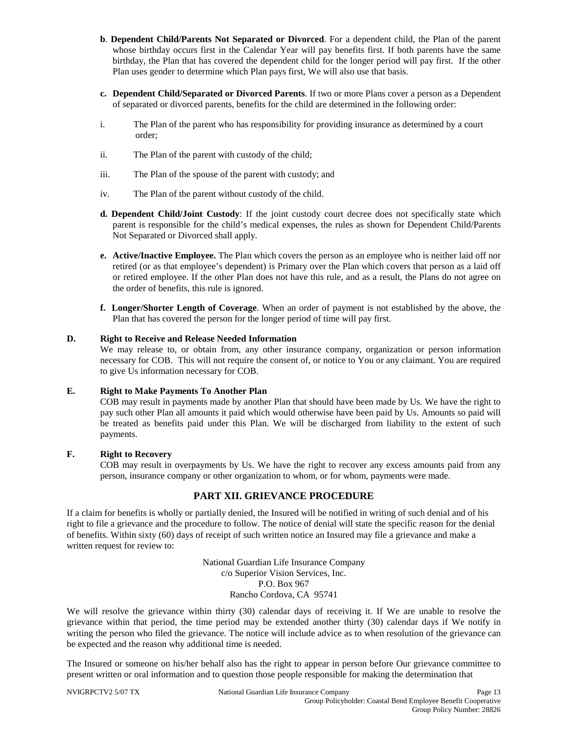- **b**. **Dependent Child/Parents Not Separated or Divorced**. For a dependent child, the Plan of the parent whose birthday occurs first in the Calendar Year will pay benefits first. If both parents have the same birthday, the Plan that has covered the dependent child for the longer period will pay first. If the other Plan uses gender to determine which Plan pays first, We will also use that basis.
- **c. Dependent Child/Separated or Divorced Parents**. If two or more Plans cover a person as a Dependent of separated or divorced parents, benefits for the child are determined in the following order:
- i. The Plan of the parent who has responsibility for providing insurance as determined by a court order;
- ii. The Plan of the parent with custody of the child;
- iii. The Plan of the spouse of the parent with custody; and
- iv. The Plan of the parent without custody of the child.
- **d. Dependent Child/Joint Custody**: If the joint custody court decree does not specifically state which parent is responsible for the child's medical expenses, the rules as shown for Dependent Child/Parents Not Separated or Divorced shall apply.
- **e. Active/Inactive Employee.** The Plan which covers the person as an employee who is neither laid off nor retired (or as that employee's dependent) is Primary over the Plan which covers that person as a laid off or retired employee. If the other Plan does not have this rule, and as a result, the Plans do not agree on the order of benefits, this rule is ignored.
- **f. Longer/Shorter Length of Coverage**. When an order of payment is not established by the above, the Plan that has covered the person for the longer period of time will pay first.

#### **D. Right to Receive and Release Needed Information**

We may release to, or obtain from, any other insurance company, organization or person information necessary for COB. This will not require the consent of, or notice to You or any claimant. You are required to give Us information necessary for COB.

#### **E. Right to Make Payments To Another Plan**

COB may result in payments made by another Plan that should have been made by Us. We have the right to pay such other Plan all amounts it paid which would otherwise have been paid by Us. Amounts so paid will be treated as benefits paid under this Plan. We will be discharged from liability to the extent of such payments.

## **F. Right to Recovery**

COB may result in overpayments by Us. We have the right to recover any excess amounts paid from any person, insurance company or other organization to whom, or for whom, payments were made.

#### **PART XII. GRIEVANCE PROCEDURE**

If a claim for benefits is wholly or partially denied, the Insured will be notified in writing of such denial and of his right to file a grievance and the procedure to follow. The notice of denial will state the specific reason for the denial of benefits. Within sixty (60) days of receipt of such written notice an Insured may file a grievance and make a written request for review to:

> National Guardian Life Insurance Company c/o Superior Vision Services, Inc. P.O. Box 967 Rancho Cordova, CA 95741

We will resolve the grievance within thirty (30) calendar days of receiving it. If We are unable to resolve the grievance within that period, the time period may be extended another thirty (30) calendar days if We notify in writing the person who filed the grievance. The notice will include advice as to when resolution of the grievance can be expected and the reason why additional time is needed.

The Insured or someone on his/her behalf also has the right to appear in person before Our grievance committee to present written or oral information and to question those people responsible for making the determination that